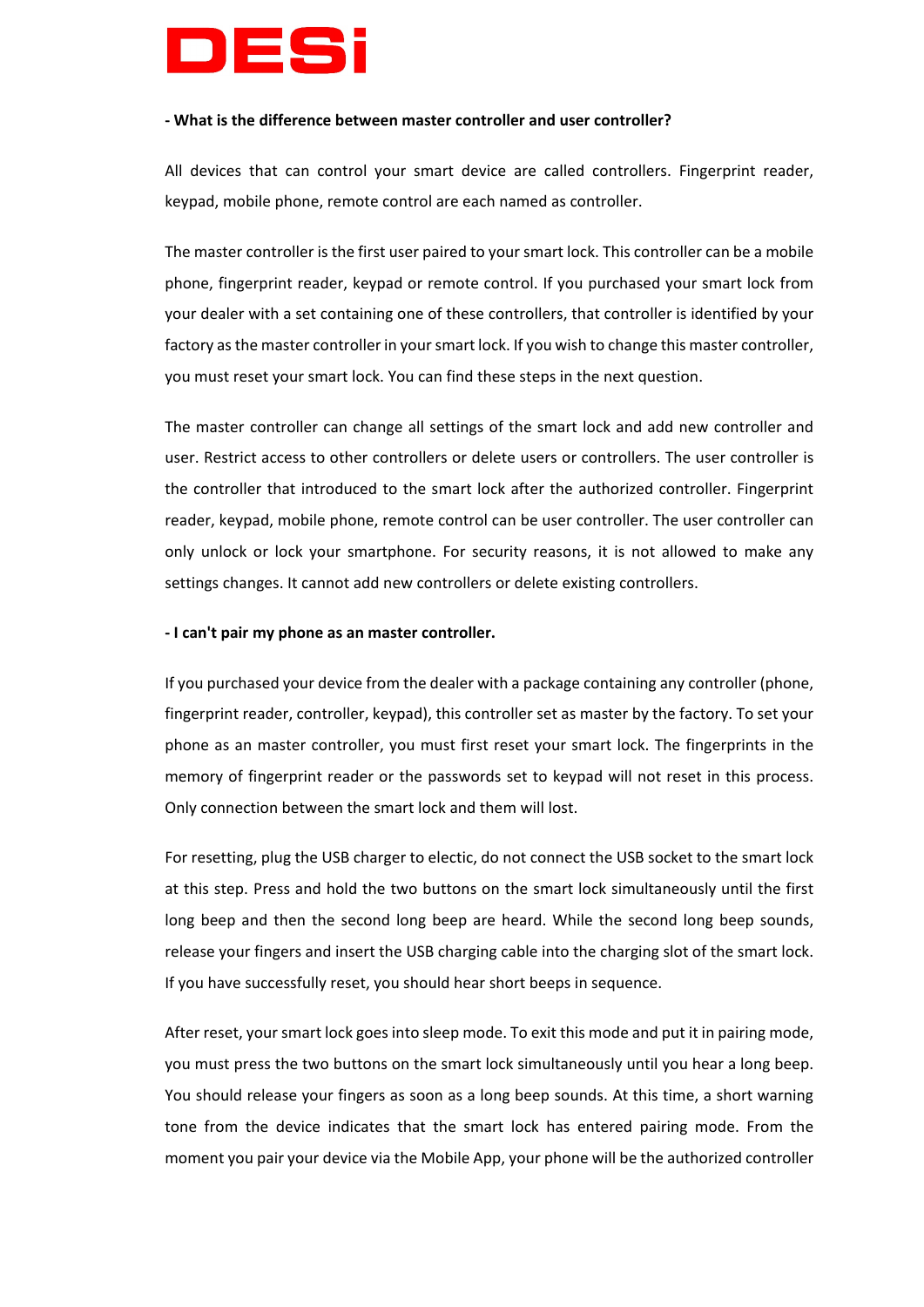

#### **- What is the difference between master controller and user controller?**

All devices that can control your smart device are called controllers. Fingerprint reader, keypad, mobile phone, remote control are each named as controller.

The master controller is the first user paired to your smart lock. This controller can be a mobile phone, fingerprint reader, keypad or remote control. If you purchased your smart lock from your dealer with a set containing one of these controllers, that controller is identified by your factory as the master controller in your smart lock. If you wish to change this master controller, you must reset your smart lock. You can find these steps in the next question.

The master controller can change all settings of the smart lock and add new controller and user. Restrict access to other controllers or delete users or controllers. The user controller is the controller that introduced to the smart lock after the authorized controller. Fingerprint reader, keypad, mobile phone, remote control can be user controller. The user controller can only unlock or lock your smartphone. For security reasons, it is not allowed to make any settings changes. It cannot add new controllers or delete existing controllers.

#### **- I can't pair my phone as an master controller.**

If you purchased your device from the dealer with a package containing any controller (phone, fingerprint reader, controller, keypad), this controller set as master by the factory. To set your phone as an master controller, you must first reset your smart lock. The fingerprints in the memory of fingerprint reader or the passwords set to keypad will not reset in this process. Only connection between the smart lock and them will lost.

For resetting, plug the USB charger to electic, do not connect the USB socket to the smart lock at this step. Press and hold the two buttons on the smart lock simultaneously until the first long beep and then the second long beep are heard. While the second long beep sounds, release your fingers and insert the USB charging cable into the charging slot of the smart lock. If you have successfully reset, you should hear short beeps in sequence.

After reset, your smart lock goes into sleep mode. To exit this mode and put it in pairing mode, you must press the two buttons on the smart lock simultaneously until you hear a long beep. You should release your fingers as soon as a long beep sounds. At this time, a short warning tone from the device indicates that the smart lock has entered pairing mode. From the moment you pair your device via the Mobile App, your phone will be the authorized controller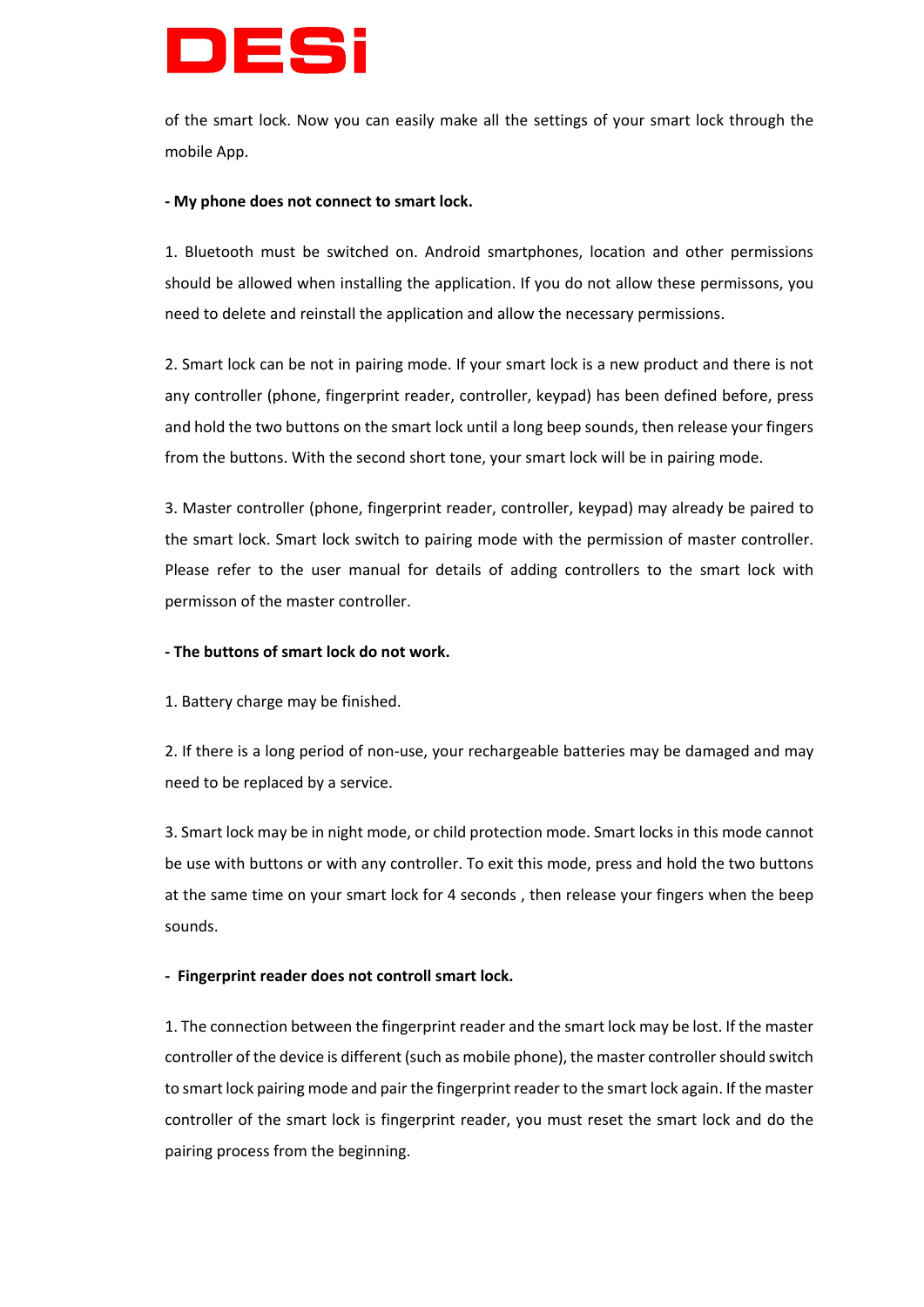# DI SS

of the smart lock. Now you can easily make all the settings of your smart lock through the mobile App.

## **- My phone does not connect to smart lock.**

1. Bluetooth must be switched on. Android smartphones, location and other permissions should be allowed when installing the application. If you do not allow these permissons, you need to delete and reinstall the application and allow the necessary permissions.

2. Smart lock can be not in pairing mode. If your smart lock is a new product and there is not any controller (phone, fingerprint reader, controller, keypad) has been defined before, press and hold the two buttons on the smart lock until a long beep sounds, then release your fingers from the buttons. With the second short tone, your smart lock will be in pairing mode.

3. Master controller (phone, fingerprint reader, controller, keypad) may already be paired to the smart lock. Smart lock switch to pairing mode with the permission of master controller. Please refer to the user manual for details of adding controllers to the smart lock with permisson of the master controller.

# **- The buttons of smart lock do not work.**

1. Battery charge may be finished.

2. If there is a long period of non-use, your rechargeable batteries may be damaged and may need to be replaced by a service.

3. Smart lock may be in night mode, or child protection mode. Smart locks in this mode cannot be use with buttons or with any controller. To exit this mode, press and hold the two buttons at the same time on your smart lock for 4 seconds , then release your fingers when the beep sounds.

# **- Fingerprint reader does not controll smart lock.**

1. The connection between the fingerprint reader and the smart lock may be lost. If the master controller of the device is different (such as mobile phone), the master controller should switch to smart lock pairing mode and pair the fingerprint reader to the smart lock again. If the master controller of the smart lock is fingerprint reader, you must reset the smart lock and do the pairing process from the beginning.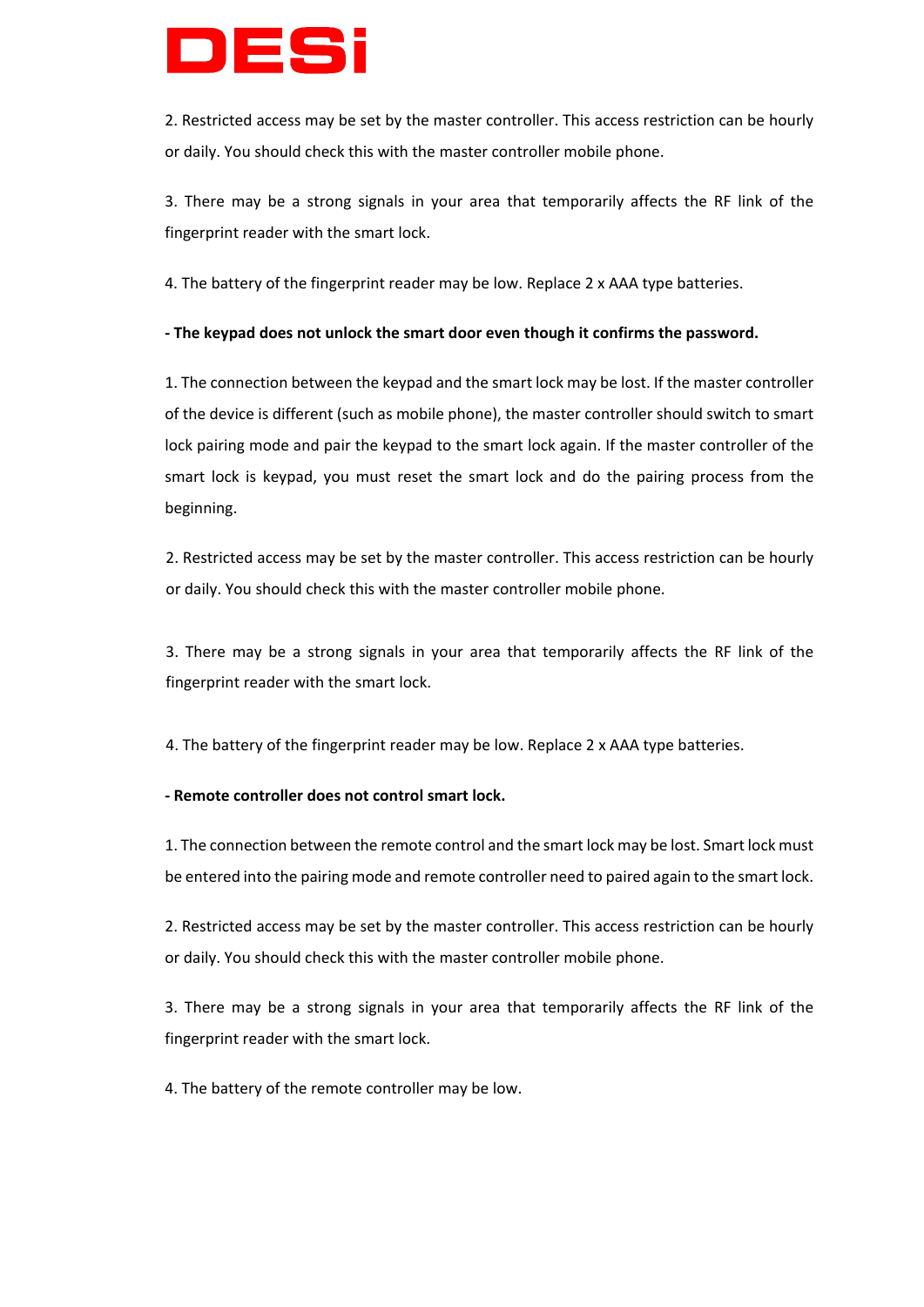

2. Restricted access may be set by the master controller. This access restriction can be hourly or daily. You should check this with the master controller mobile phone.

3. There may be a strong signals in your area that temporarily affects the RF link of the fingerprint reader with the smart lock.

4. The battery of the fingerprint reader may be low. Replace 2 x AAA type batteries.

## **- The keypad does not unlock the smart door even though it confirms the password.**

1. The connection between the keypad and the smart lock may be lost. If the master controller of the device is different (such as mobile phone), the master controller should switch to smart lock pairing mode and pair the keypad to the smart lock again. If the master controller of the smart lock is keypad, you must reset the smart lock and do the pairing process from the beginning.

2. Restricted access may be set by the master controller. This access restriction can be hourly or daily. You should check this with the master controller mobile phone.

3. There may be a strong signals in your area that temporarily affects the RF link of the fingerprint reader with the smart lock.

4. The battery of the fingerprint reader may be low. Replace 2 x AAA type batteries.

## **- Remote controller does not control smart lock.**

1. The connection between the remote control and the smart lock may be lost. Smart lock must be entered into the pairing mode and remote controller need to paired again to the smart lock.

2. Restricted access may be set by the master controller. This access restriction can be hourly or daily. You should check this with the master controller mobile phone.

3. There may be a strong signals in your area that temporarily affects the RF link of the fingerprint reader with the smart lock.

4. The battery of the remote controller may be low.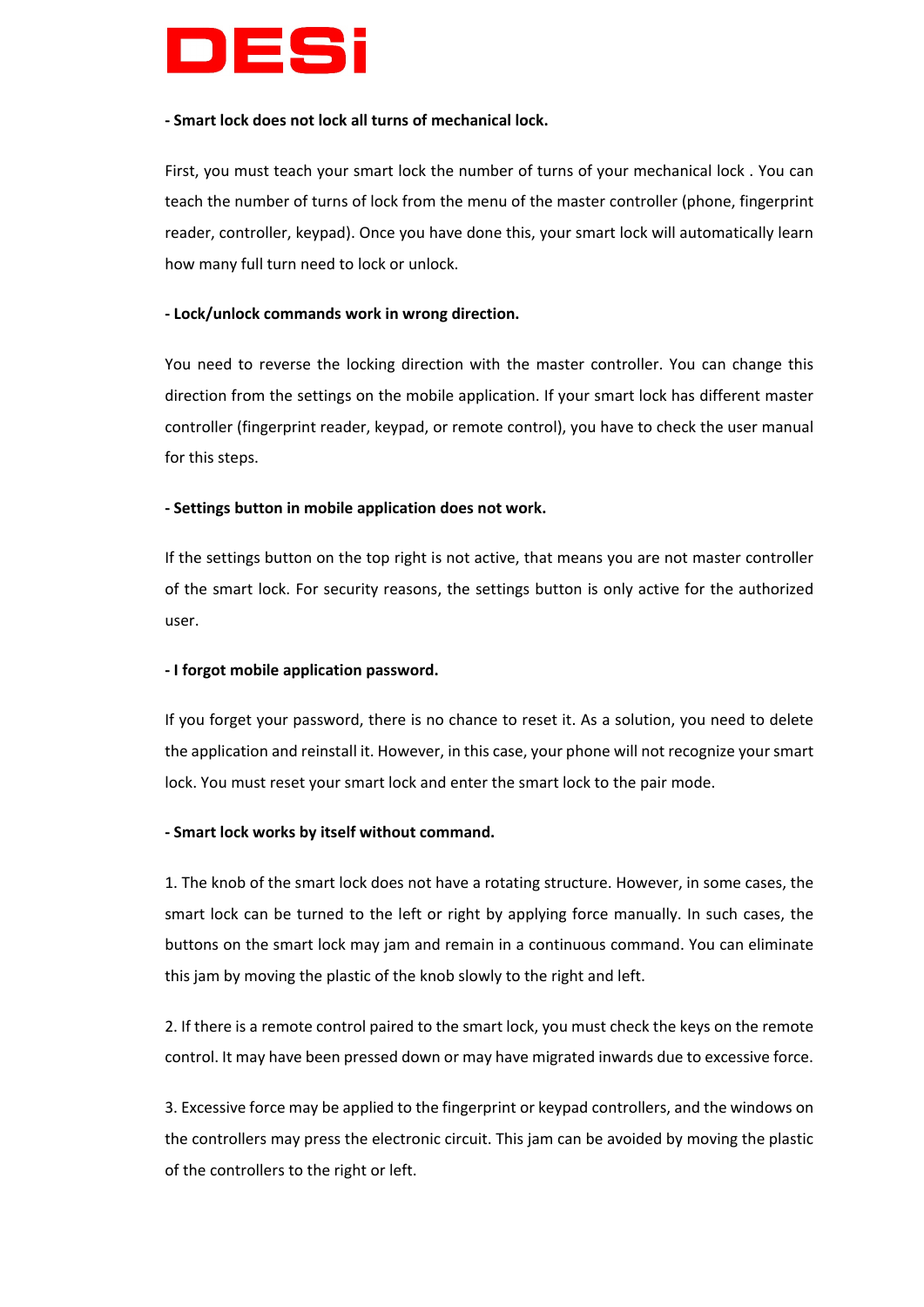

#### **- Smart lock does not lock all turns of mechanical lock.**

First, you must teach your smart lock the number of turns of your mechanical lock . You can teach the number of turns of lock from the menu of the master controller (phone, fingerprint reader, controller, keypad). Once you have done this, your smart lock will automatically learn how many full turn need to lock or unlock.

#### **- Lock/unlock commands work in wrong direction.**

You need to reverse the locking direction with the master controller. You can change this direction from the settings on the mobile application. If your smart lock has different master controller (fingerprint reader, keypad, or remote control), you have to check the user manual for this steps.

## **- Settings button in mobile application does not work.**

If the settings button on the top right is not active, that means you are not master controller of the smart lock. For security reasons, the settings button is only active for the authorized user.

## **- I forgot mobile application password.**

If you forget your password, there is no chance to reset it. As a solution, you need to delete the application and reinstall it. However, in this case, your phone will not recognize your smart lock. You must reset your smart lock and enter the smart lock to the pair mode.

## **- Smart lock works by itself without command.**

1. The knob of the smart lock does not have a rotating structure. However, in some cases, the smart lock can be turned to the left or right by applying force manually. In such cases, the buttons on the smart lock may jam and remain in a continuous command. You can eliminate this jam by moving the plastic of the knob slowly to the right and left.

2. If there is a remote control paired to the smart lock, you must check the keys on the remote control. It may have been pressed down or may have migrated inwards due to excessive force.

3. Excessive force may be applied to the fingerprint or keypad controllers, and the windows on the controllers may press the electronic circuit. This jam can be avoided by moving the plastic of the controllers to the right or left.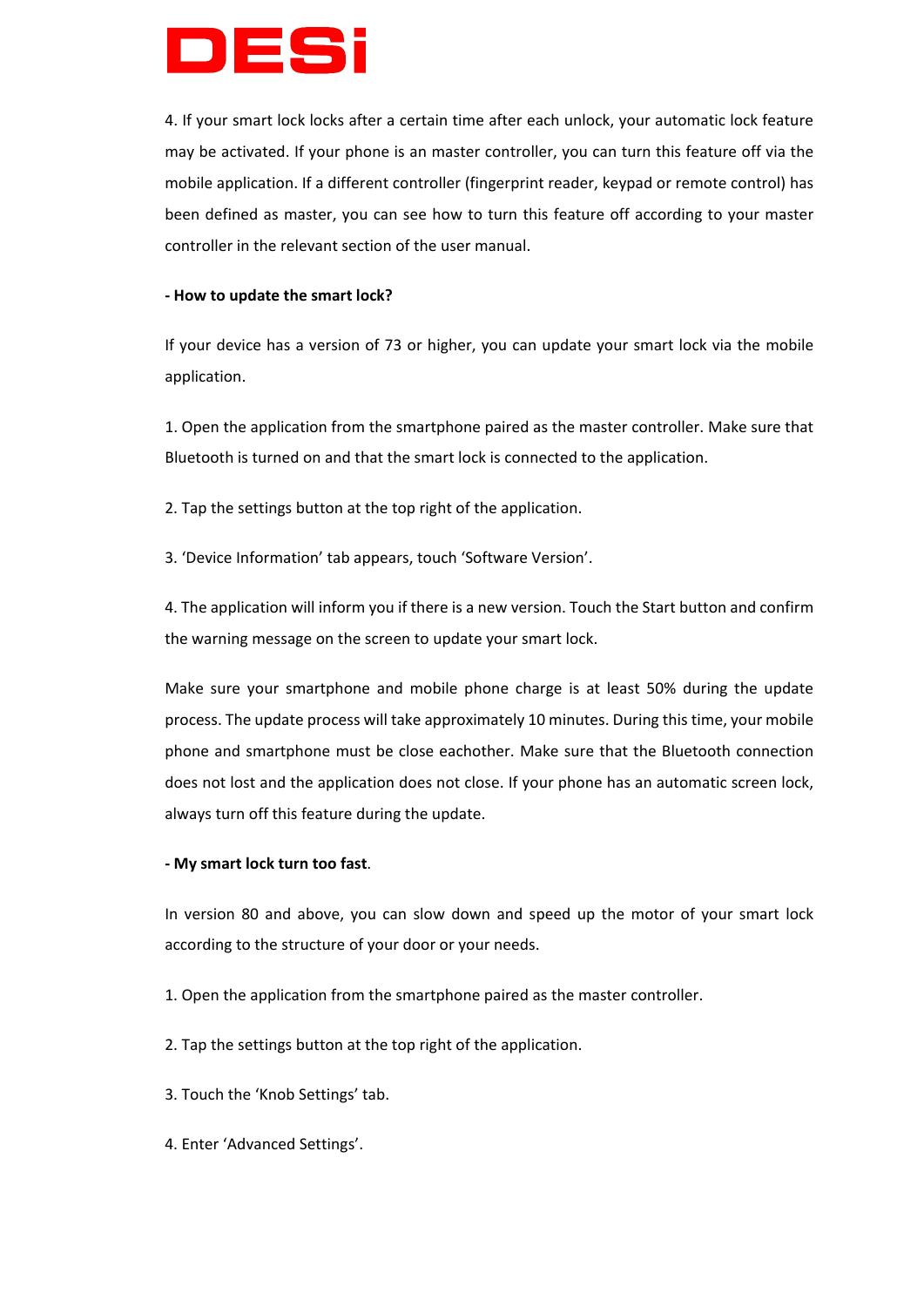

4. If your smart lock locks after a certain time after each unlock, your automatic lock feature may be activated. If your phone is an master controller, you can turn this feature off via the mobile application. If a different controller (fingerprint reader, keypad or remote control) has been defined as master, you can see how to turn this feature off according to your master controller in the relevant section of the user manual.

## **- How to update the smart lock?**

If your device has a version of 73 or higher, you can update your smart lock via the mobile application.

1. Open the application from the smartphone paired as the master controller. Make sure that Bluetooth is turned on and that the smart lock is connected to the application.

2. Tap the settings button at the top right of the application.

3. 'Device Information' tab appears, touch 'Software Version'.

4. The application will inform you if there is a new version. Touch the Start button and confirm the warning message on the screen to update your smart lock.

Make sure your smartphone and mobile phone charge is at least 50% during the update process. The update process will take approximately 10 minutes. During this time, your mobile phone and smartphone must be close eachother. Make sure that the Bluetooth connection does not lost and the application does not close. If your phone has an automatic screen lock, always turn off this feature during the update.

## **- My smart lock turn too fast**.

In version 80 and above, you can slow down and speed up the motor of your smart lock according to the structure of your door or your needs.

- 1. Open the application from the smartphone paired as the master controller.
- 2. Tap the settings button at the top right of the application.
- 3. Touch the 'Knob Settings' tab.
- 4. Enter 'Advanced Settings'.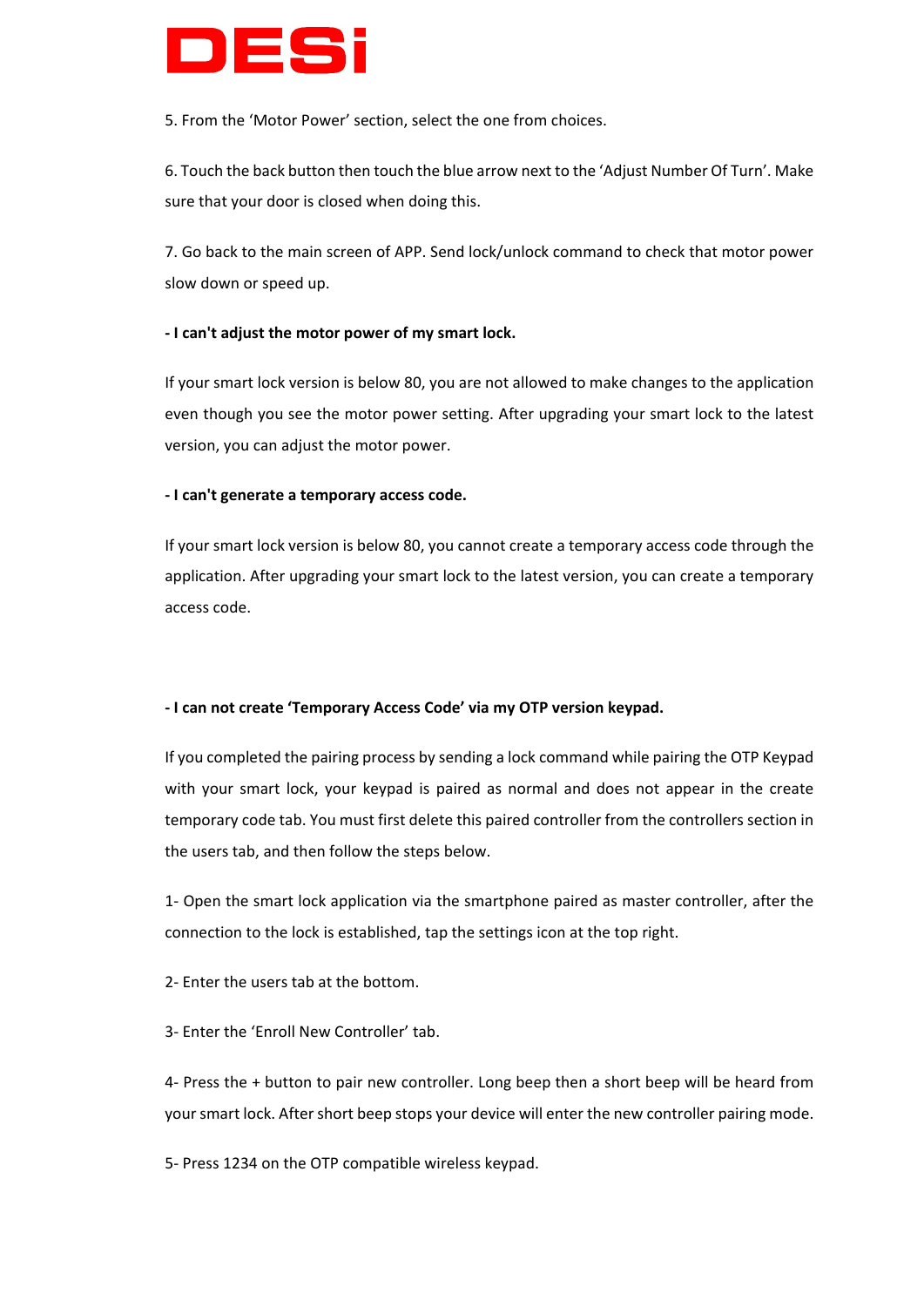

5. From the 'Motor Power' section, select the one from choices.

6. Touch the back button then touch the blue arrow next to the 'Adjust Number Of Turn'. Make sure that your door is closed when doing this.

7. Go back to the main screen of APP. Send lock/unlock command to check that motor power slow down or speed up.

## **- I can't adjust the motor power of my smart lock.**

If your smart lock version is below 80, you are not allowed to make changes to the application even though you see the motor power setting. After upgrading your smart lock to the latest version, you can adjust the motor power.

## **- I can't generate a temporary access code.**

If your smart lock version is below 80, you cannot create a temporary access code through the application. After upgrading your smart lock to the latest version, you can create a temporary access code.

## **- I can not create 'Temporary Access Code' via my OTP version keypad.**

If you completed the pairing process by sending a lock command while pairing the OTP Keypad with your smart lock, your keypad is paired as normal and does not appear in the create temporary code tab. You must first delete this paired controller from the controllers section in the users tab, and then follow the steps below.

1- Open the smart lock application via the smartphone paired as master controller, after the connection to the lock is established, tap the settings icon at the top right.

2- Enter the users tab at the bottom.

3- Enter the 'Enroll New Controller' tab.

4- Press the + button to pair new controller. Long beep then a short beep will be heard from your smart lock. After short beep stops your device will enter the new controller pairing mode.

5- Press 1234 on the OTP compatible wireless keypad.